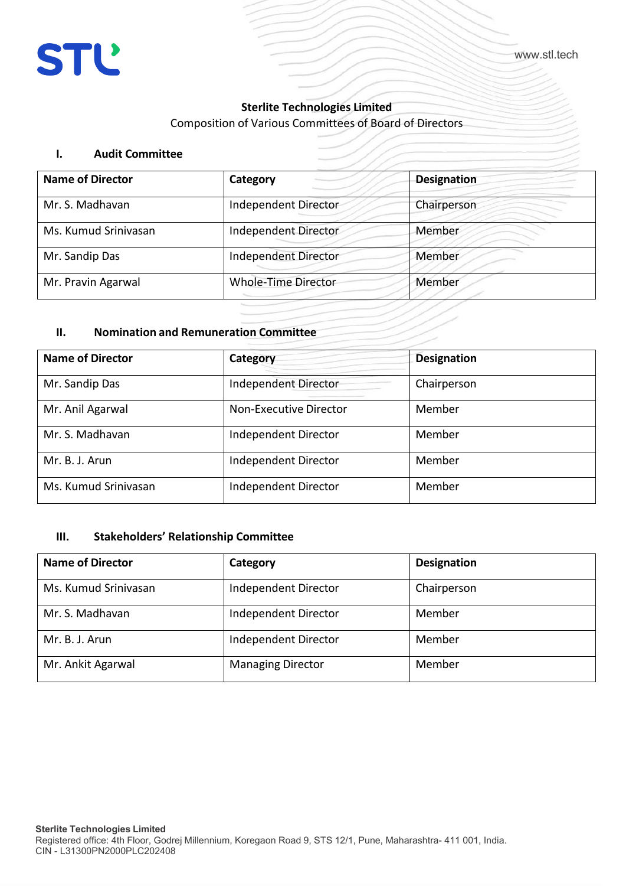# **Sterlite Technologies Limited**

Composition of Various Committees of Board of Directors

### **I. Audit Committee**

| <b>Augit Committee</b>  |                            |                    |
|-------------------------|----------------------------|--------------------|
| <b>Name of Director</b> | Category                   | <b>Designation</b> |
| Mr. S. Madhavan         | Independent Director       | Chairperson        |
| Ms. Kumud Srinivasan    | Independent Director       | Member             |
| Mr. Sandip Das          | Independent Director       | Member             |
| Mr. Pravin Agarwal      | <b>Whole-Time Director</b> | Member             |

#### **II. Nomination and Remuneration Committee**

| <b>Name of Director</b> | Category                      | <b>Designation</b> |
|-------------------------|-------------------------------|--------------------|
| Mr. Sandip Das          | Independent Director          | Chairperson        |
| Mr. Anil Agarwal        | <b>Non-Executive Director</b> | Member             |
| Mr. S. Madhavan         | Independent Director          | Member             |
| Mr. B. J. Arun          | Independent Director          | Member             |
| Ms. Kumud Srinivasan    | Independent Director          | Member             |

# **III. Stakeholders' Relationship Committee**

| <b>Name of Director</b> | Category                 | <b>Designation</b> |
|-------------------------|--------------------------|--------------------|
| Ms. Kumud Srinivasan    | Independent Director     | Chairperson        |
| Mr. S. Madhavan         | Independent Director     | Member             |
| Mr. B. J. Arun          | Independent Director     | Member             |
| Mr. Ankit Agarwal       | <b>Managing Director</b> | Member             |